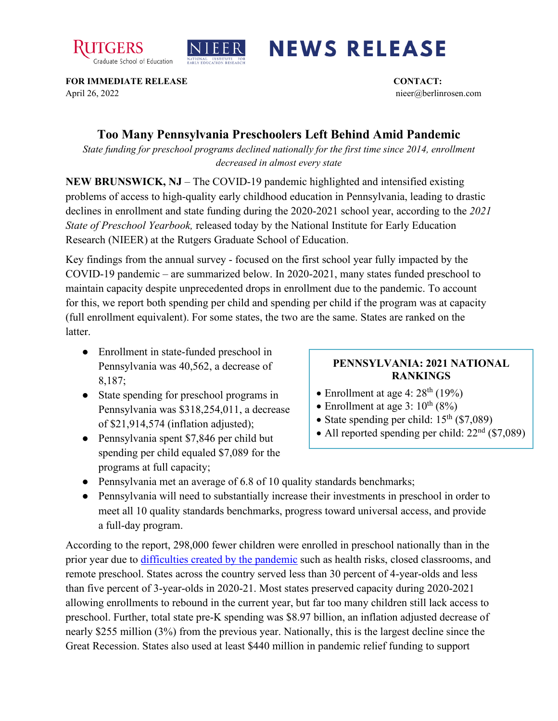



## **NEWS RELEASE**

**FOR IMMEDIATE RELEASE CONTACT:**  April 26, 2022 nieer@berlinrosen.com

## **Too Many Pennsylvania Preschoolers Left Behind Amid Pandemic**

*State funding for preschool programs declined nationally for the first time since 2014, enrollment decreased in almost every state*

**NEW BRUNSWICK, NJ** – The COVID-19 pandemic highlighted and intensified existing problems of access to high-quality early childhood education in Pennsylvania, leading to drastic declines in enrollment and state funding during the 2020-2021 school year, according to the *2021 State of Preschool Yearbook,* released today by the National Institute for Early Education Research (NIEER) at the Rutgers Graduate School of Education.

Key findings from the annual survey - focused on the first school year fully impacted by the COVID-19 pandemic – are summarized below. In 2020-2021, many states funded preschool to maintain capacity despite unprecedented drops in enrollment due to the pandemic. To account for this, we report both spending per child and spending per child if the program was at capacity (full enrollment equivalent). For some states, the two are the same. States are ranked on the latter.

- Enrollment in state-funded preschool in Pennsylvania was 40,562, a decrease of 8,187;
- State spending for preschool programs in Pennsylvania was \$318,254,011, a decrease of \$21,914,574 (inflation adjusted);
- Pennsylvania spent \$7,846 per child but spending per child equaled \$7,089 for the programs at full capacity;

## **PENNSYLVANIA: 2021 NATIONAL RANKINGS**

- Enrollment at age 4:  $28<sup>th</sup>$  (19%)
- Enrollment at age 3:  $10^{th}$  (8%)
- State spending per child:  $15<sup>th</sup>$  (\$7,089)
- All reported spending per child:  $22<sup>nd</sup>$  (\$7,089)
- Pennsylvania met an average of 6.8 of 10 quality standards benchmarks;
- Pennsylvania will need to substantially increase their investments in preschool in order to meet all 10 quality standards benchmarks, progress toward universal access, and provide a full-day program.

According to the report, 298,000 fewer children were enrolled in preschool nationally than in the prior year due to [difficulties created by the pandemic](https://nieer.org/wp-content/uploads/2021/02/NIEER_Seven_Impacts_of_the_Pandemic_on_Young_Children_and_their_Parents.pdf) such as health risks, closed classrooms, and remote preschool. States across the country served less than 30 percent of 4-year-olds and less than five percent of 3-year-olds in 2020-21. Most states preserved capacity during 2020-2021 allowing enrollments to rebound in the current year, but far too many children still lack access to preschool. Further, total state pre-K spending was \$8.97 billion, an inflation adjusted decrease of nearly \$255 million (3%) from the previous year. Nationally, this is the largest decline since the Great Recession. States also used at least \$440 million in pandemic relief funding to support